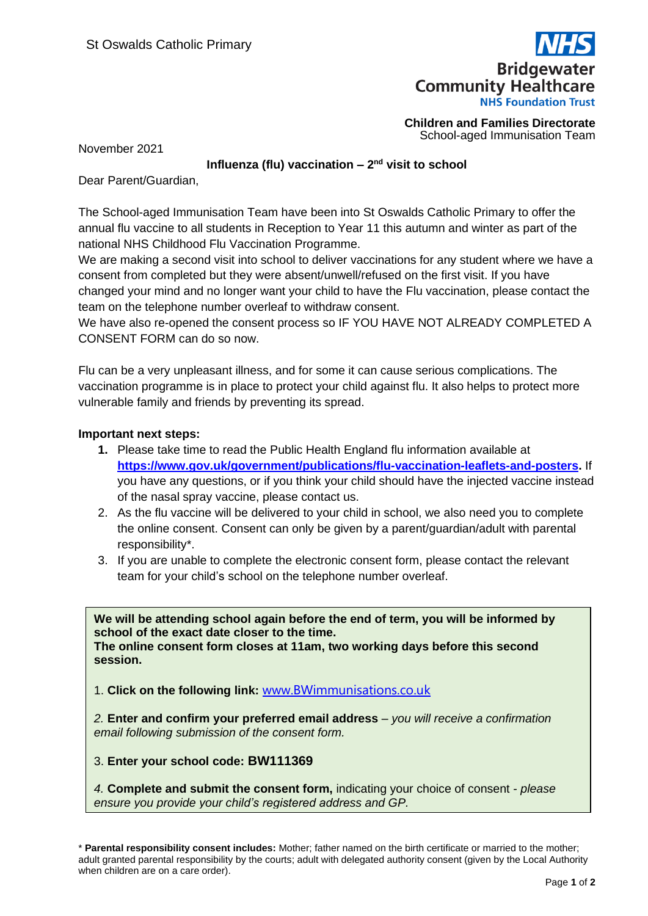

**Children and Families Directorate** School-aged Immunisation Team

November 2021

## Influenza (flu) vaccination – 2<sup>nd</sup> visit to school

Dear Parent/Guardian,

The School-aged Immunisation Team have been into St Oswalds Catholic Primary to offer the annual flu vaccine to all students in Reception to Year 11 this autumn and winter as part of the national NHS Childhood Flu Vaccination Programme.

We are making a second visit into school to deliver vaccinations for any student where we have a consent from completed but they were absent/unwell/refused on the first visit. If you have changed your mind and no longer want your child to have the Flu vaccination, please contact the team on the telephone number overleaf to withdraw consent.

We have also re-opened the consent process so IF YOU HAVE NOT ALREADY COMPLETED A CONSENT FORM can do so now.

Flu can be a very unpleasant illness, and for some it can cause serious complications. The vaccination programme is in place to protect your child against flu. It also helps to protect more vulnerable family and friends by preventing its spread.

## **Important next steps:**

- **1.** Please take time to read the Public Health England flu information available at **[https://www.gov.uk/government/publications/flu-vaccination-leaflets-and-posters.](https://www.gov.uk/government/publications/flu-vaccination-leaflets-and-posters)** If you have any questions, or if you think your child should have the injected vaccine instead of the nasal spray vaccine, please contact us.
- 2. As the flu vaccine will be delivered to your child in school, we also need you to complete the online consent. Consent can only be given by a parent/guardian/adult with parental responsibility\*.
- 3. If you are unable to complete the electronic consent form, please contact the relevant team for your child's school on the telephone number overleaf.

**We will be attending school again before the end of term, you will be informed by school of the exact date closer to the time. The online consent form closes at 11am, two working days before this second session.** 

1. **Click on the following link:** [www.BWimmunisations.co.uk](http://www.bwimmunisations.co.uk/)

*2.* **Enter and confirm your preferred email address** – *you will receive a confirmation email following submission of the consent form.* 

3. **Enter your school code: BW111369**

*4.* **Complete and submit the consent form,** indicating your choice of consent *- please ensure you provide your child's registered address and GP.* 

\* **Parental responsibility consent includes:** Mother; father named on the birth certificate or married to the mother; adult granted parental responsibility by the courts; adult with delegated authority consent (given by the Local Authority when children are on a care order).